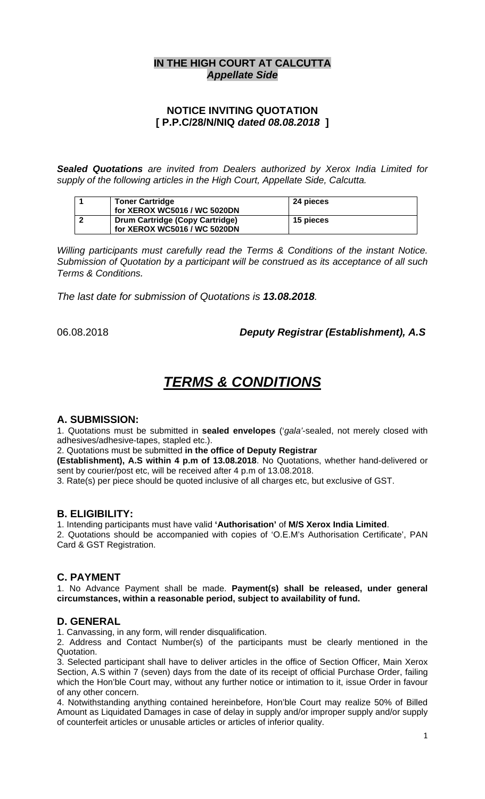## **IN THE HIGH COURT AT CALCUTTA**  *Appellate Side*

## **NOTICE INVITING QUOTATION [ P.P.C/28/N/NIQ** *dated 08.08.2018* **]**

*Sealed Quotations are invited from Dealers authorized by Xerox India Limited for supply of the following articles in the High Court, Appellate Side, Calcutta.* 

| <b>Toner Cartridge</b><br>for XEROX WC5016 / WC 5020DN          | 24 pieces |
|-----------------------------------------------------------------|-----------|
| Drum Cartridge (Copy Cartridge)<br>for XEROX WC5016 / WC 5020DN | 15 pieces |

*Willing participants must carefully read the Terms & Conditions of the instant Notice. Submission of Quotation by a participant will be construed as its acceptance of all such Terms & Conditions.*

*The last date for submission of Quotations is 13.08.2018.* 

06.08.2018 *Deputy Registrar (Establishment), A.S*

# *TERMS & CONDITIONS*

#### **A. SUBMISSION:**

1. Quotations must be submitted in **sealed envelopes** ('*gala'*-sealed, not merely closed with adhesives/adhesive-tapes, stapled etc.).

2. Quotations must be submitted **in the office of Deputy Registrar** 

**(Establishment), A.S within 4 p.m of 13.08.2018**. No Quotations, whether hand-delivered or sent by courier/post etc, will be received after 4 p.m of 13.08.2018.

3. Rate(s) per piece should be quoted inclusive of all charges etc, but exclusive of GST.

#### **B. ELIGIBILITY:**

1. Intending participants must have valid **'Authorisation'** of **M/S Xerox India Limited**. 2. Quotations should be accompanied with copies of 'O.E.M's Authorisation Certificate', PAN Card & GST Registration.

#### **C. PAYMENT**

1. No Advance Payment shall be made. **Payment(s) shall be released, under general circumstances, within a reasonable period, subject to availability of fund.** 

#### **D. GENERAL**

1. Canvassing, in any form, will render disqualification.

2. Address and Contact Number(s) of the participants must be clearly mentioned in the Quotation.

3. Selected participant shall have to deliver articles in the office of Section Officer, Main Xerox Section, A.S within 7 (seven) days from the date of its receipt of official Purchase Order, failing which the Hon'ble Court may, without any further notice or intimation to it, issue Order in favour of any other concern.

4. Notwithstanding anything contained hereinbefore, Hon'ble Court may realize 50% of Billed Amount as Liquidated Damages in case of delay in supply and/or improper supply and/or supply of counterfeit articles or unusable articles or articles of inferior quality.